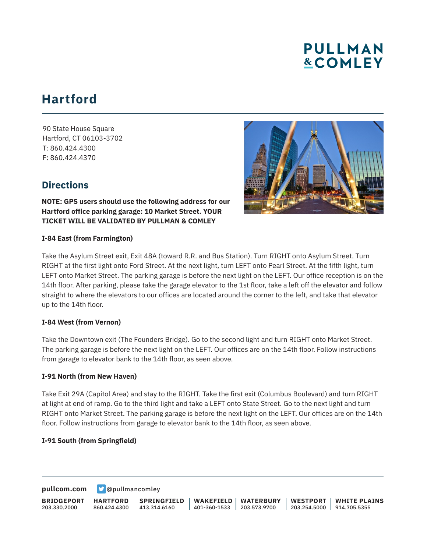# **PULLMAN &COMLEY**

## **Hartford**

90 State House Square Hartford, CT 06103-3702 T: 860.424.4300 F: 860.424.4370

### **Directions**



**NOTE: GPS users should use the following address for our Hartford office parking garage: 10 Market Street. YOUR TICKET WILL BE VALIDATED BY PULLMAN & COMLEY**

#### **I-84 East (from Farmington)**

Take the Asylum Street exit, Exit 48A (toward R.R. and Bus Station). Turn RIGHT onto Asylum Street. Turn RIGHT at the first light onto Ford Street. At the next light, turn LEFT onto Pearl Street. At the fifth light, turn LEFT onto Market Street. The parking garage is before the next light on the LEFT. Our office reception is on the 14th floor. After parking, please take the garage elevator to the 1st floor, take a left off the elevator and follow straight to where the elevators to our offices are located around the corner to the left, and take that elevator up to the 14th floor.

#### **I-84 West (from Vernon)**

Take the Downtown exit (The Founders Bridge). Go to the second light and turn RIGHT onto Market Street. The parking garage is before the next light on the LEFT. Our offices are on the 14th floor. Follow instructions from garage to elevator bank to the 14th floor, as seen above.

#### **I-91 North (from New Haven)**

Take Exit 29A (Capitol Area) and stay to the RIGHT. Take the first exit (Columbus Boulevard) and turn RIGHT at light at end of ramp. Go to the third light and take a LEFT onto State Street. Go to the next light and turn RIGHT onto Market Street. The parking garage is before the next light on the LEFT. Our offices are on the 14th floor. Follow instructions from garage to elevator bank to the 14th floor, as seen above.

#### **I-91 South (from Springfield)**

**[pullcom.com](https://www.pullcom.com) g** [@pullmancomley](https://twitter.com/PullmanComley)

**BRIDGEPORT** 203.330.2000 **HARTFORD** 860.424.4300 413.314.6160 **SPRINGFIELD WAKEFIELD** 401-360-1533 203.573.9700 **WATERBURY WESTPORT** 203.254.5000 914.705.5355 **WHITE PLAINS**